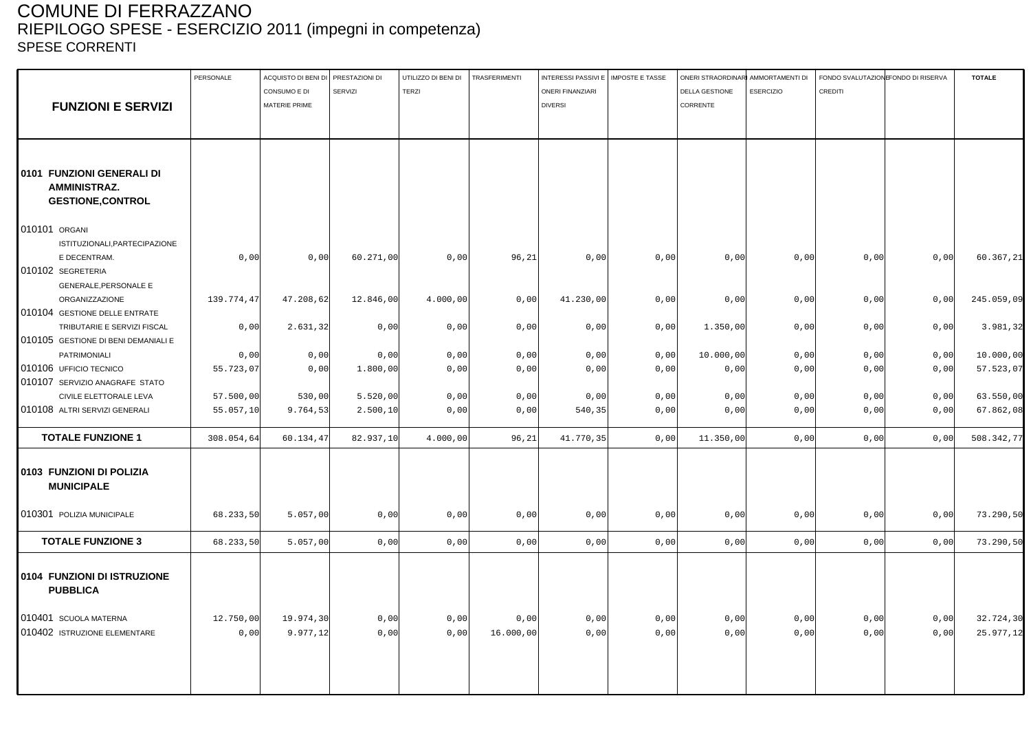### COMUNE DI FERRAZZANO RIEPILOGO SPESE - ESERCIZIO 2011 (impegni in competenza) SPESE CORRENTI

|                                                | PERSONALE  | ACQUISTO DI BENI DI PRESTAZIONI DI |                | UTILIZZO DI BENI DI | TRASFERIMENTI | INTERESSI PASSIVI E   IMPOSTE E TASSE |      |                | ONERI STRAORDINARI AMMORTAMENTI DI | FONDO SVALUTAZIONE ONDO DI RISERVA |      | <b>TOTALE</b> |
|------------------------------------------------|------------|------------------------------------|----------------|---------------------|---------------|---------------------------------------|------|----------------|------------------------------------|------------------------------------|------|---------------|
|                                                |            | CONSUMO E DI                       | <b>SERVIZI</b> | <b>TERZI</b>        |               | <b>ONERI FINANZIARI</b>               |      | DELLA GESTIONE | <b>ESERCIZIO</b>                   | CREDITI                            |      |               |
| <b>FUNZIONI E SERVIZI</b>                      |            | MATERIE PRIME                      |                |                     |               | <b>DIVERSI</b>                        |      | CORRENTE       |                                    |                                    |      |               |
|                                                |            |                                    |                |                     |               |                                       |      |                |                                    |                                    |      |               |
|                                                |            |                                    |                |                     |               |                                       |      |                |                                    |                                    |      |               |
| 0101 FUNZIONI GENERALI DI                      |            |                                    |                |                     |               |                                       |      |                |                                    |                                    |      |               |
| <b>AMMINISTRAZ.</b>                            |            |                                    |                |                     |               |                                       |      |                |                                    |                                    |      |               |
| <b>GESTIONE, CONTROL</b>                       |            |                                    |                |                     |               |                                       |      |                |                                    |                                    |      |               |
|                                                |            |                                    |                |                     |               |                                       |      |                |                                    |                                    |      |               |
| 010101 ORGANI                                  |            |                                    |                |                     |               |                                       |      |                |                                    |                                    |      |               |
| ISTITUZIONALI, PARTECIPAZIONE                  |            |                                    |                |                     |               |                                       |      |                |                                    |                                    |      |               |
| E DECENTRAM.                                   | 0,00       | 0,00                               | 60.271,00      | 0,00                | 96, 21        | 0,00                                  | 0,00 | 0,00           | 0,00                               | 0,00                               | 0,00 | 60.367,21     |
| 010102 SEGRETERIA                              |            |                                    |                |                     |               |                                       |      |                |                                    |                                    |      |               |
| <b>GENERALE, PERSONALE E</b>                   |            |                                    |                |                     |               |                                       |      |                |                                    |                                    |      |               |
| ORGANIZZAZIONE                                 | 139.774,47 | 47.208,62                          | 12.846,00      | 4.000,00            | 0,00          | 41.230,00                             | 0,00 | 0,00           | 0,00                               | 0,00                               | 0,00 | 245.059,09    |
| 010104 GESTIONE DELLE ENTRATE                  |            |                                    |                |                     |               |                                       |      |                |                                    |                                    |      |               |
| TRIBUTARIE E SERVIZI FISCAL                    | 0,00       | 2.631,32                           | 0,00           | 0,00                | 0,00          | 0,00                                  | 0,00 | 1.350,00       | 0,00                               | 0,00                               | 0,00 | 3.981,32      |
| 010105 GESTIONE DI BENI DEMANIALI E            |            |                                    |                |                     |               |                                       |      |                |                                    |                                    |      |               |
| PATRIMONIALI                                   | 0,00       | 0,00                               | 0,00           | 0,00                | 0,00          | 0,00                                  | 0,00 | 10.000,00      | 0,00                               | 0,00                               | 0,00 | 10.000,00     |
| 010106 UFFICIO TECNICO                         | 55.723,07  | 0,00                               | 1.800,00       | 0,00                | 0,00          | 0,00                                  | 0,00 | 0,00           | 0,00                               | 0,00                               | 0,00 | 57.523,07     |
| 010107 SERVIZIO ANAGRAFE STATO                 |            |                                    |                |                     |               |                                       |      |                |                                    |                                    |      |               |
| CIVILE ELETTORALE LEVA                         | 57.500,00  | 530,00                             | 5.520,00       | 0,00                | 0,00          | 0,00                                  | 0,00 | 0,00           | 0,00                               | 0,00                               | 0,00 | 63.550,00     |
| 010108 ALTRI SERVIZI GENERALI                  | 55.057,10  | 9.764,53                           | 2.500,10       | 0,00                | 0,00          | 540, 35                               | 0,00 | 0,00           | 0,00                               | 0,00                               | 0,00 | 67.862,08     |
| <b>TOTALE FUNZIONE 1</b>                       | 308.054,64 | 60.134,47                          | 82.937,10      | 4.000,00            | 96,21         | 41.770,35                             | 0,00 | 11.350,00      | 0,00                               | 0,00                               | 0,00 | 508.342,77    |
| 0103 FUNZIONI DI POLIZIA<br><b>MUNICIPALE</b>  |            |                                    |                |                     |               |                                       |      |                |                                    |                                    |      |               |
| 010301 POLIZIA MUNICIPALE                      | 68.233,50  | 5.057,00                           | 0,00           | 0,00                | 0,00          | 0,00                                  | 0,00 | 0,00           | 0,00                               | 0,00                               | 0,00 | 73.290,50     |
| <b>TOTALE FUNZIONE 3</b>                       | 68.233,50  | 5.057,00                           | 0,00           | 0,00                | 0,00          | 0,00                                  | 0,00 | 0,00           | 0,00                               | 0,00                               | 0,00 | 73.290,50     |
| 0104 FUNZIONI DI ISTRUZIONE<br><b>PUBBLICA</b> |            |                                    |                |                     |               |                                       |      |                |                                    |                                    |      |               |
| 010401 SCUOLA MATERNA                          | 12.750,00  | 19.974,30                          | 0,00           | 0,00                | 0,00          | 0,00                                  | 0,00 | 0,00           | 0,00                               | 0,00                               | 0,00 | 32.724,30     |
| 010402 ISTRUZIONE ELEMENTARE                   | 0,00       | 9.977,12                           | 0,00           | 0,00                | 16.000,00     | 0,00                                  | 0,00 | 0,00           | 0,00                               | 0,00                               | 0,00 | 25.977,12     |
|                                                |            |                                    |                |                     |               |                                       |      |                |                                    |                                    |      |               |
|                                                |            |                                    |                |                     |               |                                       |      |                |                                    |                                    |      |               |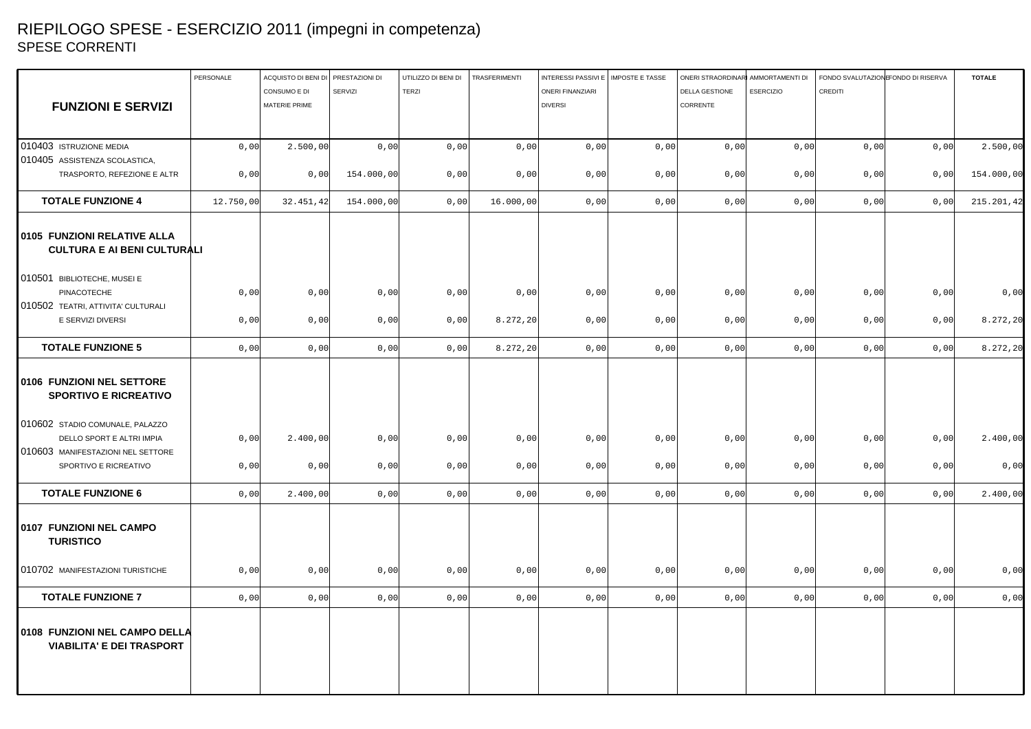## RIEPILOGO SPESE - ESERCIZIO 2011 (impegni in competenza) SPESE CORRENTI

|                                                                   | PERSONALE | ACQUISTO DI BENI DI PRESTAZIONI DI |            | UTILIZZO DI BENI DI | <b>TRASFERIMENTI</b> | INTERESSI PASSIVI E   IMPOSTE E TASSE |      | ONERI STRAORDINARI AMMORTAMENTI DI |                  | FONDO SVALUTAZIONE ONDO DI RISERVA |      | <b>TOTALE</b> |
|-------------------------------------------------------------------|-----------|------------------------------------|------------|---------------------|----------------------|---------------------------------------|------|------------------------------------|------------------|------------------------------------|------|---------------|
|                                                                   |           | CONSUMO E DI                       | SERVIZI    | TERZI               |                      | <b>ONERI FINANZIARI</b>               |      | DELLA GESTIONE                     | <b>ESERCIZIO</b> | CREDITI                            |      |               |
| <b>FUNZIONI E SERVIZI</b>                                         |           | MATERIE PRIME                      |            |                     |                      | <b>DIVERSI</b>                        |      | CORRENTE                           |                  |                                    |      |               |
|                                                                   |           |                                    |            |                     |                      |                                       |      |                                    |                  |                                    |      |               |
|                                                                   |           |                                    |            |                     |                      |                                       |      |                                    |                  |                                    |      |               |
| 010403 ISTRUZIONE MEDIA                                           | 0,00      | 2.500,00                           | 0,00       | 0,00                | 0,00                 | 0,00                                  | 0,00 | 0,00                               | 0,00             | 0,00                               | 0,00 | 2.500,00      |
| 010405 ASSISTENZA SCOLASTICA,                                     |           |                                    |            |                     |                      |                                       |      |                                    |                  |                                    |      |               |
| TRASPORTO, REFEZIONE E ALTR                                       | 0,00      | 0,00                               | 154.000,00 | 0,00                | 0,00                 | 0,00                                  | 0,00 | 0,00                               | 0,00             | 0,00                               | 0,00 | 154.000,00    |
| <b>TOTALE FUNZIONE 4</b>                                          | 12.750,00 | 32.451,42                          | 154.000,00 | 0,00                | 16.000,00            | 0,00                                  | 0,00 | 0,00                               | 0,00             | 0,00                               | 0,00 | 215.201,42    |
| 0105 FUNZIONI RELATIVE ALLA<br><b>CULTURA E AI BENI CULTURALI</b> |           |                                    |            |                     |                      |                                       |      |                                    |                  |                                    |      |               |
| 010501 BIBLIOTECHE, MUSEI E                                       |           |                                    |            |                     |                      |                                       |      |                                    |                  |                                    |      |               |
| PINACOTECHE                                                       | 0,00      | 0,00                               | 0,00       | 0,00                | 0,00                 | 0,00                                  | 0,00 | 0,00                               | 0,00             | 0,00                               | 0,00 | 0,00          |
| 010502 TEATRI, ATTIVITA' CULTURALI                                |           |                                    |            |                     |                      |                                       |      |                                    |                  |                                    |      |               |
| E SERVIZI DIVERSI                                                 | 0,00      | 0,00                               | 0,00       | 0,00                | 8.272, 20            | 0,00                                  | 0,00 | 0,00                               | 0,00             | 0,00                               | 0,00 | 8.272,20      |
| <b>TOTALE FUNZIONE 5</b>                                          | 0,00      | 0,00                               | 0,00       | 0,00                | 8.272, 20            | 0,00                                  | 0,00 | 0,00                               | 0,00             | 0,00                               | 0,00 | 8.272,20      |
| 0106 FUNZIONI NEL SETTORE<br><b>SPORTIVO E RICREATIVO</b>         |           |                                    |            |                     |                      |                                       |      |                                    |                  |                                    |      |               |
| 010602 STADIO COMUNALE, PALAZZO<br>DELLO SPORT E ALTRI IMPIA      | 0,00      | 2.400,00                           | 0,00       | 0,00                | 0,00                 | 0,00                                  | 0,00 | 0,00                               | 0,00             | 0,00                               | 0,00 | 2.400,00      |
| 010603 MANIFESTAZIONI NEL SETTORE                                 |           |                                    |            |                     |                      |                                       |      |                                    |                  |                                    |      |               |
| SPORTIVO E RICREATIVO                                             | 0,00      | 0,00                               | 0,00       | 0,00                | 0,00                 | 0,00                                  | 0,00 | 0,00                               | 0,00             | 0,00                               | 0,00 | 0,00          |
| <b>TOTALE FUNZIONE 6</b>                                          | 0,00      | 2.400,00                           | 0,00       | 0,00                | 0,00                 | 0,00                                  | 0,00 | 0,00                               | 0,00             | 0,00                               | 0,00 | 2.400,00      |
| 0107 FUNZIONI NEL CAMPO<br><b>TURISTICO</b>                       |           |                                    |            |                     |                      |                                       |      |                                    |                  |                                    |      |               |
| 010702 MANIFESTAZIONI TURISTICHE                                  | 0,00      | 0,00                               | 0,00       | 0,00                | 0,00                 | 0,00                                  | 0,00 | 0,00                               | 0,00             | 0,00                               | 0,00 | 0,00          |
| <b>TOTALE FUNZIONE 7</b>                                          | 0,00      | 0,00                               | 0,00       | 0,00                | 0,00                 | 0,00                                  | 0,00 | 0,00                               | 0,00             | 0,00                               | 0,00 | 0,00          |
| 0108 FUNZIONI NEL CAMPO DELLA<br><b>VIABILITA' E DEI TRASPORT</b> |           |                                    |            |                     |                      |                                       |      |                                    |                  |                                    |      |               |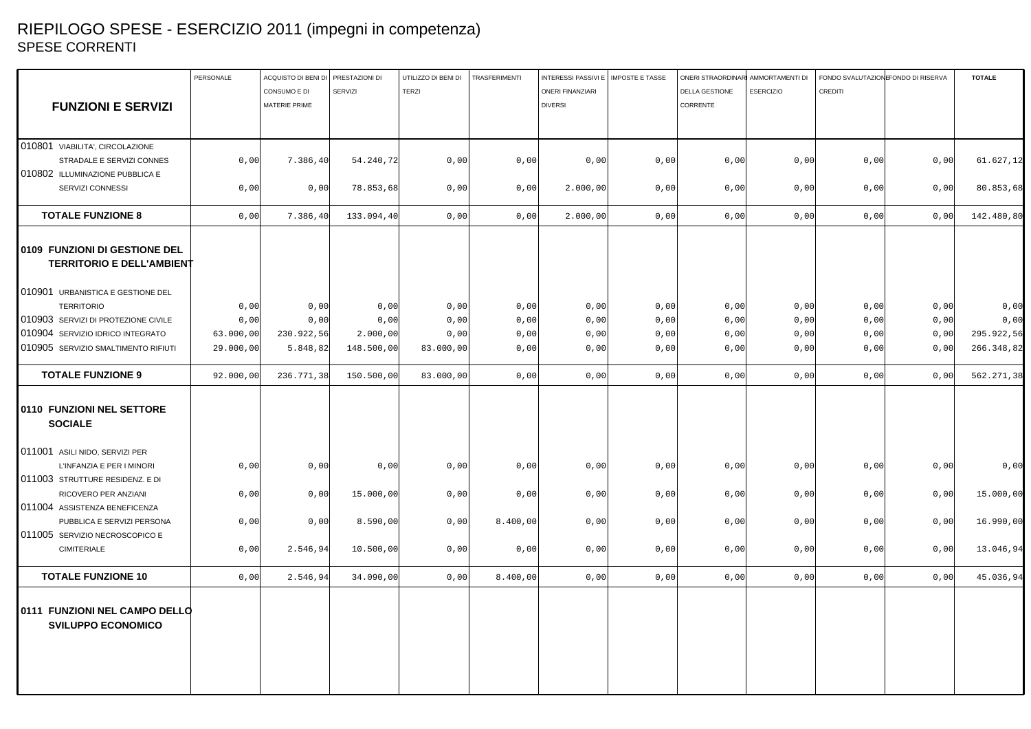## RIEPILOGO SPESE - ESERCIZIO 2011 (impegni in competenza) SPESE CORRENTI

|                                                                   | PERSONALE | ACQUISTO DI BENI DI PRESTAZIONI DI |            | UTILIZZO DI BENI DI | <b>TRASFERIMENTI</b> | INTERESSI PASSIVI E   IMPOSTE E TASSE |      | ONERI STRAORDINARI AMMORTAMENTI DI |                  | FONDO SVALUTAZION FONDO DI RISERVA |      | <b>TOTALE</b> |
|-------------------------------------------------------------------|-----------|------------------------------------|------------|---------------------|----------------------|---------------------------------------|------|------------------------------------|------------------|------------------------------------|------|---------------|
|                                                                   |           | CONSUMO E DI                       | SERVIZI    | <b>TERZI</b>        |                      | <b>ONERI FINANZIARI</b>               |      | <b>DELLA GESTIONE</b>              | <b>ESERCIZIO</b> | <b>CREDITI</b>                     |      |               |
| <b>FUNZIONI E SERVIZI</b>                                         |           | MATERIE PRIME                      |            |                     |                      | <b>DIVERSI</b>                        |      | CORRENTE                           |                  |                                    |      |               |
|                                                                   |           |                                    |            |                     |                      |                                       |      |                                    |                  |                                    |      |               |
|                                                                   |           |                                    |            |                     |                      |                                       |      |                                    |                  |                                    |      |               |
| 010801 VIABILITA', CIRCOLAZIONE                                   |           |                                    |            |                     |                      |                                       |      |                                    |                  |                                    |      |               |
| STRADALE E SERVIZI CONNES                                         | 0,00      | 7.386, 40                          | 54.240,72  | 0,00                | 0,00                 | 0,00                                  | 0,00 | 0,00                               | 0,00             | 0,00                               | 0,00 | 61.627,12     |
| 010802 ILLUMINAZIONE PUBBLICA E                                   |           |                                    |            |                     |                      |                                       |      |                                    |                  |                                    |      |               |
| SERVIZI CONNESSI                                                  | 0,00      | 0,00                               | 78.853,68  | 0,00                | 0,00                 | 2.000,00                              | 0,00 | 0,00                               | 0,00             | 0,00                               | 0,00 | 80.853,68     |
| <b>TOTALE FUNZIONE 8</b>                                          | 0,00      | 7.386, 40                          | 133.094,40 | 0,00                | 0,00                 | 2.000,00                              | 0,00 | 0,00                               | 0,00             | 0,00                               | 0,00 | 142.480,80    |
| 0109 FUNZIONI DI GESTIONE DEL<br><b>TERRITORIO E DELL'AMBIENT</b> |           |                                    |            |                     |                      |                                       |      |                                    |                  |                                    |      |               |
| 010901 URBANISTICA E GESTIONE DEL                                 |           |                                    |            |                     |                      |                                       |      |                                    |                  |                                    |      |               |
| <b>TERRITORIO</b>                                                 | 0,00      | 0,00                               | 0,00       | 0,00                | 0,00                 | 0,00                                  | 0,00 | 0,00                               | 0,00             | 0,00                               | 0,00 | 0,00          |
| 010903 SERVIZI DI PROTEZIONE CIVILE                               | 0,00      | 0,00                               | 0,00       | 0,00                | 0,00                 | 0,00                                  | 0,00 | 0,00                               | 0,00             | 0,00                               | 0,00 | 0,00          |
| 010904 SERVIZIO IDRICO INTEGRATO                                  | 63.000,00 | 230.922,56                         | 2.000,00   | 0,00                | 0,00                 | 0,00                                  | 0,00 | 0,00                               | 0,00             | 0,00                               | 0,00 | 295.922,56    |
| 010905 SERVIZIO SMALTIMENTO RIFIUTI                               | 29.000,00 | 5.848,82                           | 148.500,00 | 83.000,00           | 0,00                 | 0,00                                  | 0,00 | 0,00                               | 0,00             | 0,00                               | 0,00 | 266.348,82    |
|                                                                   |           |                                    |            |                     |                      |                                       |      |                                    |                  |                                    |      |               |
| <b>TOTALE FUNZIONE 9</b>                                          | 92.000,00 | 236.771,38                         | 150.500,00 | 83.000,00           | 0,00                 | 0,00                                  | 0,00 | 0,00                               | 0,00             | 0,00                               | 0,00 | 562.271,38    |
| 0110 FUNZIONI NEL SETTORE<br><b>SOCIALE</b>                       |           |                                    |            |                     |                      |                                       |      |                                    |                  |                                    |      |               |
| 011001 ASILI NIDO, SERVIZI PER                                    |           |                                    |            |                     |                      |                                       |      |                                    |                  |                                    |      |               |
| L'INFANZIA E PER I MINORI                                         | 0,00      | 0,00                               | 0,00       | 0,00                | 0,00                 | 0,00                                  | 0,00 | 0,00                               | 0,00             | 0,00                               | 0,00 | 0,00          |
| 011003 STRUTTURE RESIDENZ. E DI                                   |           |                                    |            |                     |                      |                                       |      |                                    |                  |                                    |      |               |
| RICOVERO PER ANZIANI                                              | 0,00      | 0,00                               | 15.000,00  | 0,00                | 0,00                 | 0,00                                  | 0,00 | 0,00                               | 0,00             | 0,00                               | 0,00 | 15.000,00     |
| 011004 ASSISTENZA BENEFICENZA                                     |           |                                    |            |                     |                      |                                       |      |                                    |                  |                                    |      |               |
| PUBBLICA E SERVIZI PERSONA                                        | 0,00      | 0,00                               | 8.590,00   | 0,00                | 8.400,00             | 0,00                                  | 0,00 | 0,00                               | 0,00             | 0,00                               | 0,00 | 16.990,00     |
| 011005 SERVIZIO NECROSCOPICO E                                    |           |                                    |            |                     |                      |                                       |      |                                    |                  |                                    |      |               |
| <b>CIMITERIALE</b>                                                | 0,00      | 2.546,94                           | 10.500,00  | 0,00                | 0,00                 | 0,00                                  | 0,00 | 0,00                               | 0,00             | 0,00                               | 0,00 | 13.046,94     |
| <b>TOTALE FUNZIONE 10</b>                                         | 0,00      | 2.546,94                           | 34.090,00  | 0,00                | 8.400,00             | 0,00                                  | 0,00 | 0,00                               | 0,00             | 0,00                               | 0,00 | 45.036,94     |
| 0111 FUNZIONI NEL CAMPO DELLO<br><b>SVILUPPO ECONOMICO</b>        |           |                                    |            |                     |                      |                                       |      |                                    |                  |                                    |      |               |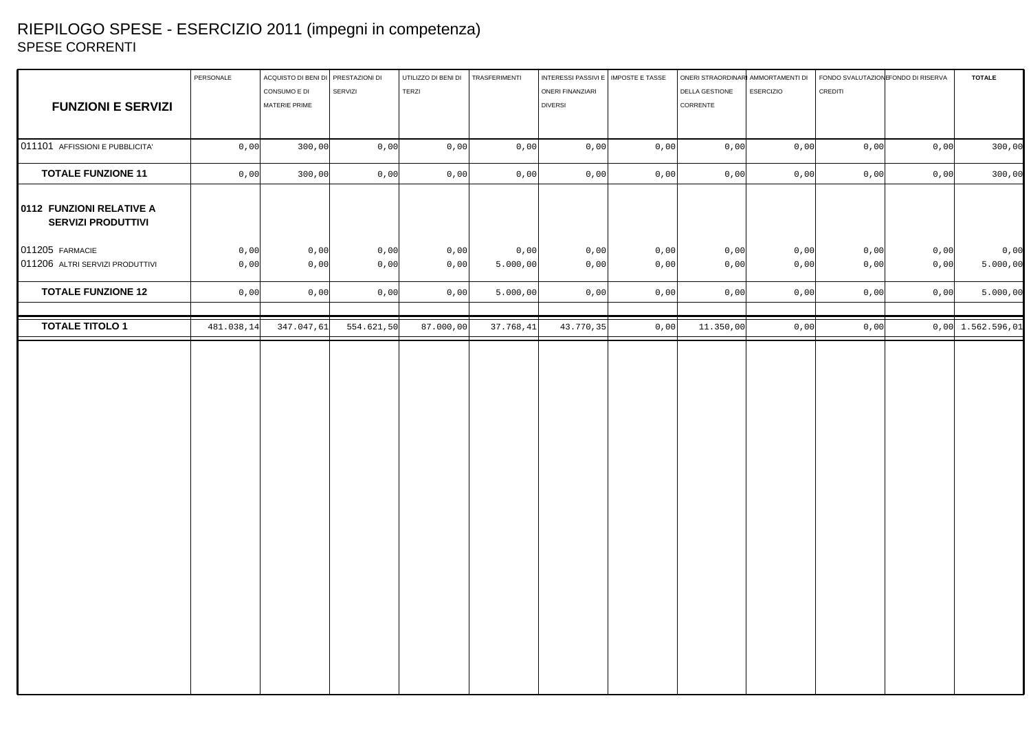## RIEPILOGO SPESE - ESERCIZIO 2011 (impegni in competenza) SPESE CORRENTI

|                                                       | PERSONALE  | ACQUISTO DI BENI DI PRESTAZIONI DI |            | UTILIZZO DI BENI DI | TRASFERIMENTI | INTERESSI PASSIVI E   IMPOSTE E TASSE |      | ONERI STRAORDINARI AMMORTAMENTI DI |                  | FONDO SVALUTAZION FONDO DI RISERVA |      | <b>TOTALE</b>       |
|-------------------------------------------------------|------------|------------------------------------|------------|---------------------|---------------|---------------------------------------|------|------------------------------------|------------------|------------------------------------|------|---------------------|
|                                                       |            | CONSUMO E DI                       | SERVIZI    | TERZI               |               | <b>ONERI FINANZIARI</b>               |      | DELLA GESTIONE                     | <b>ESERCIZIO</b> | CREDITI                            |      |                     |
| <b>FUNZIONI E SERVIZI</b>                             |            | MATERIE PRIME                      |            |                     |               | <b>DIVERSI</b>                        |      | CORRENTE                           |                  |                                    |      |                     |
|                                                       |            |                                    |            |                     |               |                                       |      |                                    |                  |                                    |      |                     |
| 011101 AFFISSIONI E PUBBLICITA'                       | 0,00       | 300,00                             | 0,00       | 0,00                | 0,00          | 0,00                                  | 0,00 | 0,00                               | 0,00             | 0,00                               | 0,00 | 300,00              |
| <b>TOTALE FUNZIONE 11</b>                             | 0,00       | 300,00                             | 0,00       | 0,00                | 0,00          | 0,00                                  | 0,00 | 0,00                               | 0,00             | 0,00                               | 0,00 | 300,00              |
| 0112 FUNZIONI RELATIVE A<br><b>SERVIZI PRODUTTIVI</b> |            |                                    |            |                     |               |                                       |      |                                    |                  |                                    |      |                     |
| 011205 FARMACIE                                       | 0,00       | 0,00                               | 0,00       | 0,00                | 0,00          | 0,00                                  | 0,00 | 0,00                               | 0,00             | 0,00                               | 0,00 | 0,00                |
| 011206 ALTRI SERVIZI PRODUTTIVI                       | 0,00       | 0,00                               | 0,00       | 0,00                | 5.000,00      | 0,00                                  | 0,00 | 0,00                               | 0,00             | 0,00                               | 0,00 | 5.000,00            |
| <b>TOTALE FUNZIONE 12</b>                             | 0,00       | 0,00                               | 0,00       | 0,00                | 5.000,00      | 0,00                                  | 0,00 | 0,00                               | 0,00             | 0,00                               | 0,00 | 5.000,00            |
| <b>TOTALE TITOLO 1</b>                                | 481.038,14 | 347.047,61                         | 554.621,50 | 87.000,00           | 37.768, 41    | 43.770,35                             | 0,00 | 11.350,00                          | 0,00             | 0,00                               |      | $0,00$ 1.562.596,01 |
|                                                       |            |                                    |            |                     |               |                                       |      |                                    |                  |                                    |      |                     |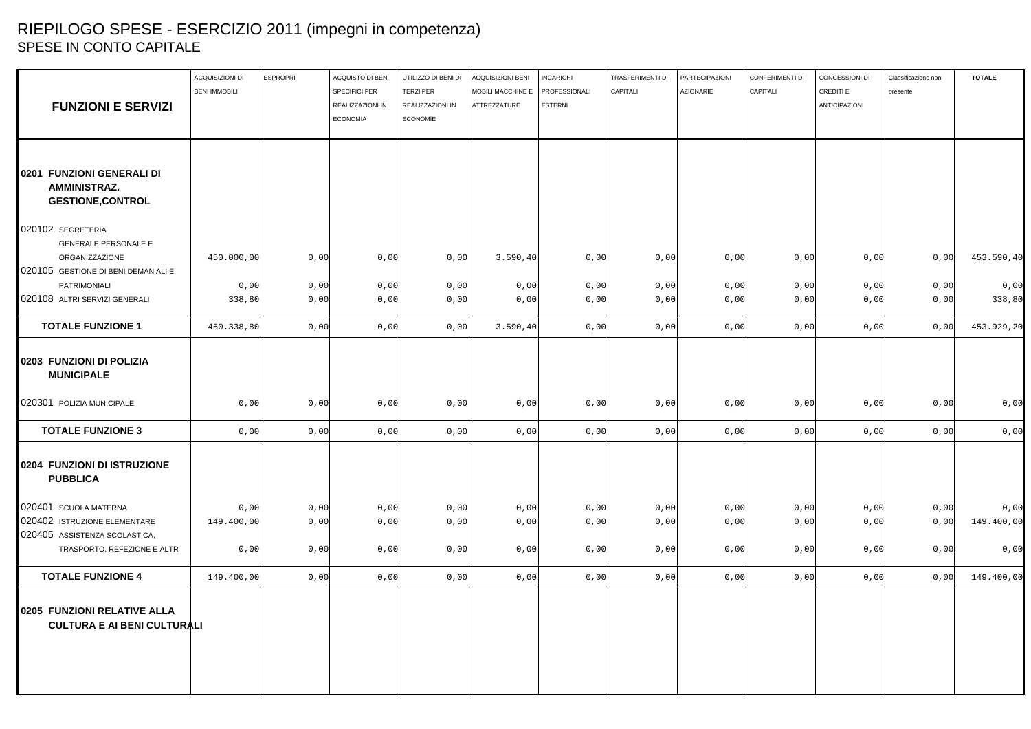# RIEPILOGO SPESE - ESERCIZIO 2011 (impegni in competenza) SPESE IN CONTO CAPITALE

| presente                   | CREDITI E            | CAPITALI | PARTECIPAZIONI<br><b>AZIONARIE</b> | TRASFERIMENTI DI<br>CAPITALI | <b>INCARICHI</b><br>PROFESSIONALI | <b>ACQUISIZIONI BENI</b><br>MOBILI MACCHINE E | UTILIZZO DI BENI DI<br><b>TERZI PER</b> | ACQUISTO DI BENI<br><b>SPECIFICI PER</b> | <b>ESPROPRI</b> | ACQUISIZIONI DI<br><b>BENI IMMOBILI</b> |                                                                   |
|----------------------------|----------------------|----------|------------------------------------|------------------------------|-----------------------------------|-----------------------------------------------|-----------------------------------------|------------------------------------------|-----------------|-----------------------------------------|-------------------------------------------------------------------|
|                            | <b>ANTICIPAZIONI</b> |          |                                    |                              | <b>ESTERNI</b>                    | ATTREZZATURE                                  | REALIZZAZIONI IN                        | REALIZZAZIONI IN                         |                 |                                         | <b>FUNZIONI E SERVIZI</b>                                         |
|                            |                      |          |                                    |                              |                                   |                                               | <b>ECONOMIE</b>                         | <b>ECONOMIA</b>                          |                 |                                         |                                                                   |
|                            |                      |          |                                    |                              |                                   |                                               |                                         |                                          |                 |                                         |                                                                   |
|                            |                      |          |                                    |                              |                                   |                                               |                                         |                                          |                 |                                         |                                                                   |
|                            |                      |          |                                    |                              |                                   |                                               |                                         |                                          |                 |                                         | 0201 FUNZIONI GENERALI DI<br><b>AMMINISTRAZ.</b>                  |
|                            |                      |          |                                    |                              |                                   |                                               |                                         |                                          |                 |                                         | <b>GESTIONE, CONTROL</b>                                          |
|                            |                      |          |                                    |                              |                                   |                                               |                                         |                                          |                 |                                         | 020102 SEGRETERIA                                                 |
|                            |                      |          |                                    |                              |                                   |                                               |                                         |                                          |                 |                                         | GENERALE, PERSONALE E                                             |
| 0,00<br>453.590,40<br>0,00 |                      | 0,00     | 0,00                               | 0,00                         | 0,00                              | 3.590, 40                                     | 0,00                                    | 0,00                                     | 0,00            | 450.000,00                              | ORGANIZZAZIONE                                                    |
|                            |                      |          |                                    |                              |                                   |                                               |                                         |                                          |                 |                                         | 020105 GESTIONE DI BENI DEMANIALI E                               |
| 0,00<br>0,00<br>0,00       |                      | 0,00     | 0,00                               | 0,00                         | 0,00                              | 0,00                                          | 0,00                                    | 0,00                                     | 0,00            | 0,00                                    | PATRIMONIALI                                                      |
| 0,00<br>0,00<br>338,80     |                      | 0,00     | 0,00                               | 0,00                         | 0,00                              | 0,00                                          | 0,00                                    | 0,00                                     | 0,00            | 338,80                                  | 020108 ALTRI SERVIZI GENERALI                                     |
| 453.929,20<br>0,00<br>0,00 |                      | 0,00     | 0,00                               | 0,00                         | 0,00                              | 3.590, 40                                     | 0,00                                    | 0,00                                     | 0,00            | 450.338,80                              | <b>TOTALE FUNZIONE 1</b>                                          |
|                            |                      |          |                                    |                              |                                   |                                               |                                         |                                          |                 |                                         | 0203 FUNZIONI DI POLIZIA<br><b>MUNICIPALE</b>                     |
| 0,00<br>0,00<br>0,00       |                      | 0,00     | 0,00                               | 0,00                         | 0,00                              | 0,00                                          | 0,00                                    | 0,00                                     | 0,00            | 0,00                                    | 020301 POLIZIA MUNICIPALE                                         |
| 0,00<br>0,00<br>0,00       |                      | 0,00     | 0,00                               | 0,00                         | 0,00                              | 0,00                                          | 0,00                                    | 0,00                                     | 0,00            | 0,00                                    | <b>TOTALE FUNZIONE 3</b>                                          |
|                            |                      |          |                                    |                              |                                   |                                               |                                         |                                          |                 |                                         | 0204 FUNZIONI DI ISTRUZIONE<br><b>PUBBLICA</b>                    |
| 0,00<br>0,00<br>0,00       |                      |          |                                    |                              |                                   |                                               |                                         |                                          |                 |                                         |                                                                   |
| 149.400,00<br>0,00<br>0,00 |                      | 0,00     | 0,00                               | 0,00                         | 0,00                              | 0,00                                          | 0,00                                    | 0,00                                     | 0,00            | 149.400,00                              | 020402 ISTRUZIONE ELEMENTARE                                      |
|                            |                      |          |                                    |                              |                                   |                                               |                                         |                                          |                 |                                         |                                                                   |
| 0,00<br>0,00<br>0,00       |                      | 0,00     | 0,00                               | 0,00                         | 0,00                              | 0,00                                          | 0,00                                    | 0,00                                     | 0,00            | 0,00                                    | TRASPORTO, REFEZIONE E ALTR                                       |
| 149.400,00<br>0,00<br>0,00 |                      | 0,00     | 0,00                               | 0,00                         | 0,00                              | 0,00                                          | 0,00                                    | 0,00                                     | 0,00            | 149.400,00                              | <b>TOTALE FUNZIONE 4</b>                                          |
|                            |                      |          |                                    |                              |                                   |                                               |                                         |                                          |                 |                                         | 0205 FUNZIONI RELATIVE ALLA<br><b>CULTURA E AI BENI CULTURALI</b> |
|                            |                      | 0,00     | 0,00                               | 0,00                         | 0,00                              | 0,00                                          | 0,00                                    | 0,00                                     | 0,00            | 0,00                                    | 020401 SCUOLA MATERNA<br>020405 ASSISTENZA SCOLASTICA,            |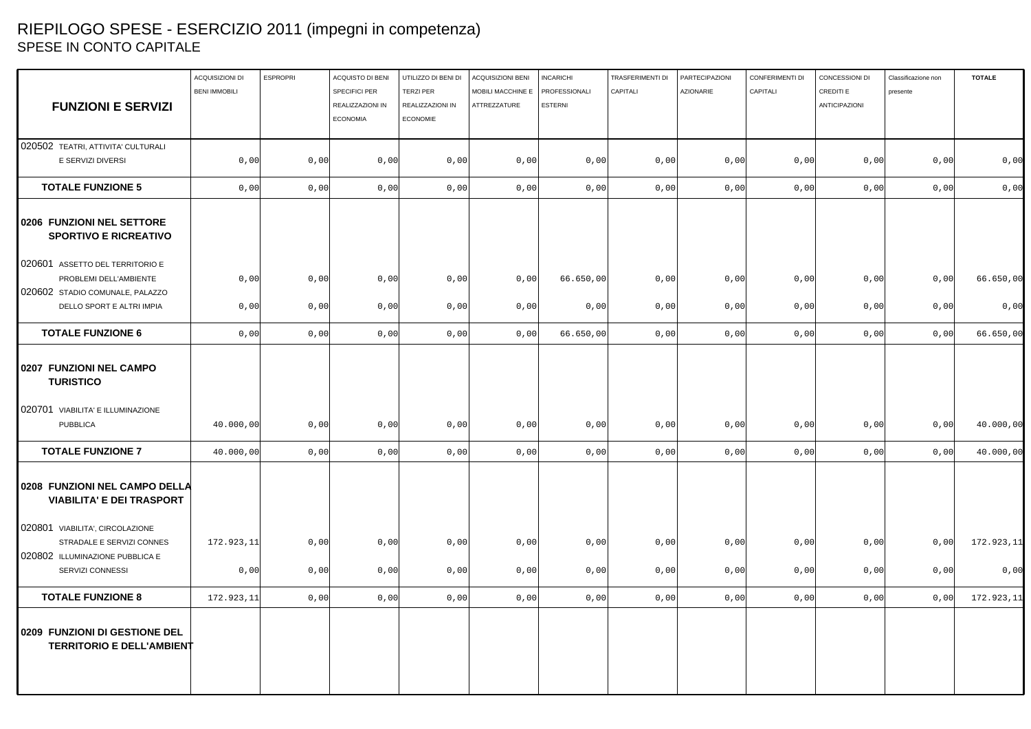## RIEPILOGO SPESE - ESERCIZIO 2011 (impegni in competenza) SPESE IN CONTO CAPITALE

|                                                                   | ACQUISIZIONI DI      | <b>ESPROPRI</b> | ACQUISTO DI BENI                  | UTILIZZO DI BENI DI                  | ACQUISIZIONI BENI                 | <b>INCARICHI</b>                | TRASFERIMENTI DI | PARTECIPAZIONI   | CONFERIMENTI DI | CONCESSIONI DI             | Classificazione non | <b>TOTALE</b> |
|-------------------------------------------------------------------|----------------------|-----------------|-----------------------------------|--------------------------------------|-----------------------------------|---------------------------------|------------------|------------------|-----------------|----------------------------|---------------------|---------------|
| <b>FUNZIONI E SERVIZI</b>                                         | <b>BENI IMMOBILI</b> |                 | SPECIFICI PER<br>REALIZZAZIONI IN | <b>TERZI PER</b><br>REALIZZAZIONI IN | MOBILI MACCHINE E<br>ATTREZZATURE | PROFESSIONALI<br><b>ESTERNI</b> | CAPITALI         | <b>AZIONARIE</b> | CAPITALI        | CREDITI E<br>ANTICIPAZIONI | presente            |               |
|                                                                   |                      |                 | <b>ECONOMIA</b>                   | <b>ECONOMIE</b>                      |                                   |                                 |                  |                  |                 |                            |                     |               |
| 020502 TEATRI, ATTIVITA' CULTURALI                                |                      |                 |                                   |                                      |                                   |                                 |                  |                  |                 |                            |                     |               |
| E SERVIZI DIVERSI                                                 | 0,00                 | 0,00            | 0,00                              | 0,00                                 | 0,00                              | 0,00                            | 0,00             | 0,00             | 0,00            | 0,00                       | 0,00                | 0,00          |
|                                                                   |                      |                 |                                   |                                      |                                   |                                 |                  |                  |                 |                            |                     |               |
| <b>TOTALE FUNZIONE 5</b>                                          | 0,00                 | 0,00            | 0,00                              | 0,00                                 | 0,00                              | 0,00                            | 0,00             | 0,00             | 0,00            | 0,00                       | 0,00                | 0,00          |
| 0206 FUNZIONI NEL SETTORE<br><b>SPORTIVO E RICREATIVO</b>         |                      |                 |                                   |                                      |                                   |                                 |                  |                  |                 |                            |                     |               |
| 020601 ASSETTO DEL TERRITORIO E                                   |                      |                 |                                   |                                      |                                   |                                 |                  |                  |                 |                            |                     |               |
| PROBLEMI DELL'AMBIENTE                                            | 0,00                 | 0,00            | 0,00                              | 0,00                                 | 0,00                              | 66.650,00                       | 0,00             | 0,00             | 0,00            | 0,00                       | 0,00                | 66.650,00     |
| 020602 STADIO COMUNALE, PALAZZO                                   |                      |                 |                                   |                                      |                                   |                                 |                  |                  |                 |                            |                     |               |
| DELLO SPORT E ALTRI IMPIA                                         | 0,00                 | 0,00            | 0,00                              | 0,00                                 | 0,00                              | 0,00                            | 0,00             | 0,00             | 0,00            | 0,00                       | 0,00                | 0,00          |
| <b>TOTALE FUNZIONE 6</b>                                          | 0,00                 | 0,00            | 0,00                              | 0,00                                 | 0,00                              | 66.650,00                       | 0,00             | 0,00             | 0,00            | 0,00                       | 0,00                | 66.650,00     |
| 0207 FUNZIONI NEL CAMPO<br><b>TURISTICO</b>                       |                      |                 |                                   |                                      |                                   |                                 |                  |                  |                 |                            |                     |               |
| 020701 VIABILITA' E ILLUMINAZIONE                                 |                      |                 |                                   |                                      |                                   |                                 |                  |                  |                 |                            |                     |               |
| <b>PUBBLICA</b>                                                   | 40.000,00            | 0,00            | 0,00                              | 0,00                                 | 0,00                              | 0,00                            | 0,00             | 0,00             | 0,00            | 0,00                       | 0,00                | 40.000,00     |
| <b>TOTALE FUNZIONE 7</b>                                          | 40.000,00            | 0,00            | 0,00                              | 0,00                                 | 0,00                              | 0,00                            | 0,00             | 0,00             | 0,00            | 0,00                       | 0,00                | 40.000,00     |
| 0208 FUNZIONI NEL CAMPO DELLA<br><b>VIABILITA' E DEI TRASPORT</b> |                      |                 |                                   |                                      |                                   |                                 |                  |                  |                 |                            |                     |               |
| 020801 VIABILITA', CIRCOLAZIONE                                   |                      |                 |                                   |                                      |                                   |                                 |                  |                  |                 |                            |                     |               |
| STRADALE E SERVIZI CONNES                                         | 172.923,11           | 0,00            | 0,00                              | 0,00                                 | 0,00                              | 0,00                            | 0,00             | 0,00             | 0,00            | 0,00                       | 0,00                | 172.923,11    |
| 020802 ILLUMINAZIONE PUBBLICA E                                   |                      |                 |                                   |                                      |                                   |                                 |                  |                  |                 |                            |                     |               |
| SERVIZI CONNESSI                                                  | 0,00                 | 0,00            | 0,00                              | 0,00                                 | 0,00                              | 0,00                            | 0,00             | 0,00             | 0,00            | 0,00                       | 0,00                | 0,00          |
| <b>TOTALE FUNZIONE 8</b>                                          | 172.923,11           | 0,00            | 0,00                              | 0,00                                 | 0,00                              | 0,00                            | 0,00             | 0,00             | 0,00            | 0,00                       | 0,00                | 172.923,11    |
| 0209 FUNZIONI DI GESTIONE DEL<br><b>TERRITORIO E DELL'AMBIENT</b> |                      |                 |                                   |                                      |                                   |                                 |                  |                  |                 |                            |                     |               |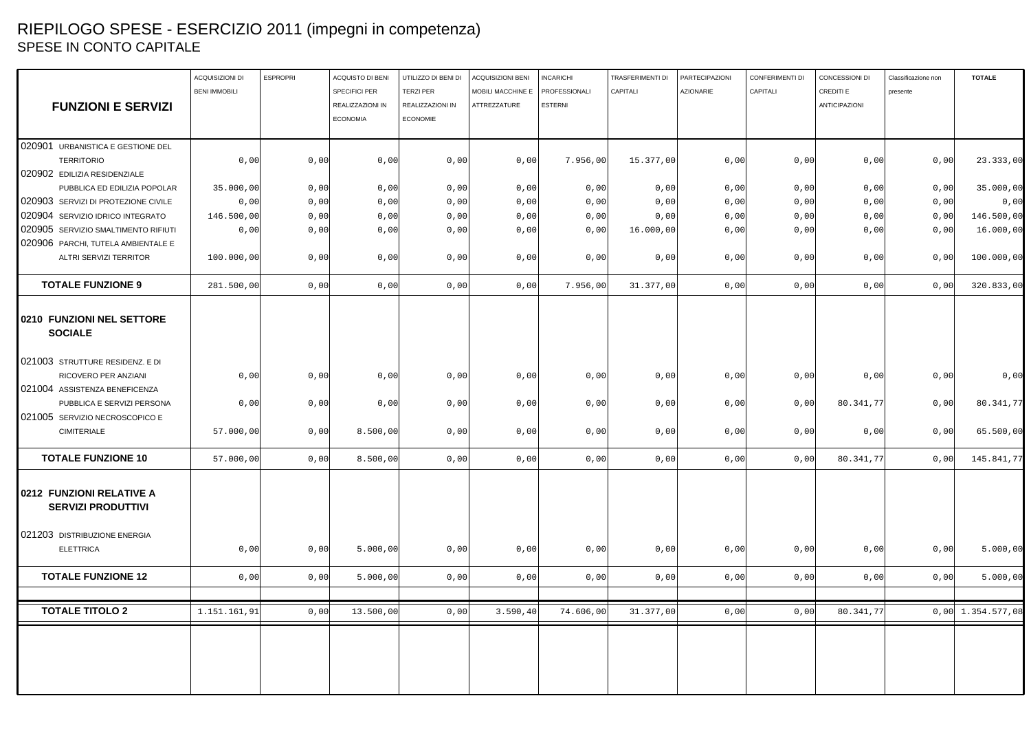## RIEPILOGO SPESE - ESERCIZIO 2011 (impegni in competenza) SPESE IN CONTO CAPITALE

|                                                         | ACQUISIZIONI DI      | <b>ESPROPRI</b> | ACQUISTO DI BENI | UTILIZZO DI BENI DI | <b>ACQUISIZIONI BENI</b> | <b>INCARICHI</b> | TRASFERIMENTI DI | PARTECIPAZIONI | CONFERIMENTI DI | CONCESSIONI DI       | Classificazione non | <b>TOTALE</b>       |
|---------------------------------------------------------|----------------------|-----------------|------------------|---------------------|--------------------------|------------------|------------------|----------------|-----------------|----------------------|---------------------|---------------------|
|                                                         | <b>BENI IMMOBILI</b> |                 | SPECIFICI PER    | <b>TERZI PER</b>    | MOBILI MACCHINE E        | PROFESSIONALI    | CAPITALI         | AZIONARIE      | CAPITALI        | CREDITI E            | presente            |                     |
| <b>FUNZIONI E SERVIZI</b>                               |                      |                 | REALIZZAZIONI IN | REALIZZAZIONI IN    | ATTREZZATURE             | <b>ESTERNI</b>   |                  |                |                 | <b>ANTICIPAZIONI</b> |                     |                     |
|                                                         |                      |                 | <b>ECONOMIA</b>  | <b>ECONOMIE</b>     |                          |                  |                  |                |                 |                      |                     |                     |
|                                                         |                      |                 |                  |                     |                          |                  |                  |                |                 |                      |                     |                     |
| 020901 URBANISTICA E GESTIONE DEL                       |                      |                 |                  |                     |                          |                  |                  |                |                 |                      |                     |                     |
| <b>TERRITORIO</b>                                       | 0,00                 | 0,00            | 0,00             | 0,00                | 0,00                     | 7.956,00         | 15.377,00        | 0,00           | 0,00            | 0,00                 | 0,00                | 23.333,00           |
| 020902 EDILIZIA RESIDENZIALE                            |                      |                 |                  |                     |                          |                  |                  |                |                 |                      |                     |                     |
| PUBBLICA ED EDILIZIA POPOLAR                            | 35.000,00            | 0,00            | 0,00             | 0,00                | 0,00                     | 0,00             | 0,00             | 0,00           | 0,00            | 0,00                 | 0,00                | 35.000,00           |
| 020903 SERVIZI DI PROTEZIONE CIVILE                     | 0,00                 | 0,00            | 0,00             | 0,00                | 0,00                     | 0,00             | 0,00             | 0,00           | 0,00            | 0,00                 | 0,00                | 0,00                |
| 020904 SERVIZIO IDRICO INTEGRATO                        | 146.500,00           | 0,00            | 0,00             | 0,00                | 0,00                     | 0,00             | 0,00             | 0,00           | 0,00            | 0,00                 | 0,00                | 146.500,00          |
| 020905 SERVIZIO SMALTIMENTO RIFIUTI                     | 0,00                 | 0,00            | 0,00             | 0,00                | 0,00                     | 0,00             | 16.000,00        | 0,00           | 0,00            | 0,00                 | 0,00                | 16.000,00           |
| 020906 PARCHI, TUTELA AMBIENTALE E                      |                      |                 |                  |                     |                          |                  |                  |                |                 |                      |                     |                     |
| ALTRI SERVIZI TERRITOR                                  | 100.000,00           | 0,00            | 0,00             | 0,00                | 0,00                     | 0,00             | 0,00             | 0,00           | 0,00            | 0,00                 | 0,00                | 100.000,00          |
| <b>TOTALE FUNZIONE 9</b>                                | 281.500,00           | 0,00            | 0,00             | 0,00                | 0,00                     | 7.956,00         | 31.377,00        | 0,00           | 0,00            | 0,00                 | 0,00                | 320.833,00          |
| 0210 FUNZIONI NEL SETTORE<br><b>SOCIALE</b>             |                      |                 |                  |                     |                          |                  |                  |                |                 |                      |                     |                     |
| 021003 STRUTTURE RESIDENZ. E DI<br>RICOVERO PER ANZIANI | 0,00                 | 0,00            | 0,00             | 0,00                | 0,00                     | 0,00             | 0,00             | 0,00           | 0,00            | 0,00                 | 0,00                | 0,00                |
| 021004 ASSISTENZA BENEFICENZA                           |                      |                 |                  |                     |                          |                  |                  |                |                 |                      |                     |                     |
| PUBBLICA E SERVIZI PERSONA                              | 0,00                 | 0,00            | 0,00             | 0,00                | 0,00                     | 0,00             | 0,00             | 0,00           | 0,00            | 80.341,77            | 0,00                | 80.341,77           |
| 021005 SERVIZIO NECROSCOPICO E                          |                      |                 |                  |                     |                          |                  |                  |                |                 |                      |                     |                     |
| <b>CIMITERIALE</b>                                      | 57.000,00            | 0,00            | 8.500,00         | 0,00                | 0,00                     | 0,00             | 0,00             | 0,00           | 0,00            | 0,00                 | 0,00                | 65.500,00           |
| <b>TOTALE FUNZIONE 10</b>                               | 57.000,00            | 0,00            | 8.500,00         | 0,00                | 0,00                     | 0,00             | 0,00             | 0,00           | 0,00            | 80.341,77            | 0,00                | 145.841,77          |
| 0212 FUNZIONI RELATIVE A<br><b>SERVIZI PRODUTTIVI</b>   |                      |                 |                  |                     |                          |                  |                  |                |                 |                      |                     |                     |
| 021203 DISTRIBUZIONE ENERGIA<br><b>ELETTRICA</b>        | 0,00                 | 0,00            | 5.000,00         | 0,00                | 0,00                     | 0,00             | 0,00             | 0,00           | 0,00            | 0,00                 | 0,00                | 5.000,00            |
| <b>TOTALE FUNZIONE 12</b>                               | 0,00                 | 0,00            | 5.000,00         | 0,00                | 0,00                     | 0,00             | 0,00             | 0,00           | 0,00            | 0,00                 | 0,00                | 5.000,00            |
| <b>TOTALE TITOLO 2</b>                                  | 1.151.161,91         | 0,00            | 13.500,00        | 0,00                | 3.590, 40                | 74.606,00        | 31.377,00        | 0,00           | 0,00            | 80.341,77            |                     | $0,00$ 1.354.577,08 |
|                                                         |                      |                 |                  |                     |                          |                  |                  |                |                 |                      |                     |                     |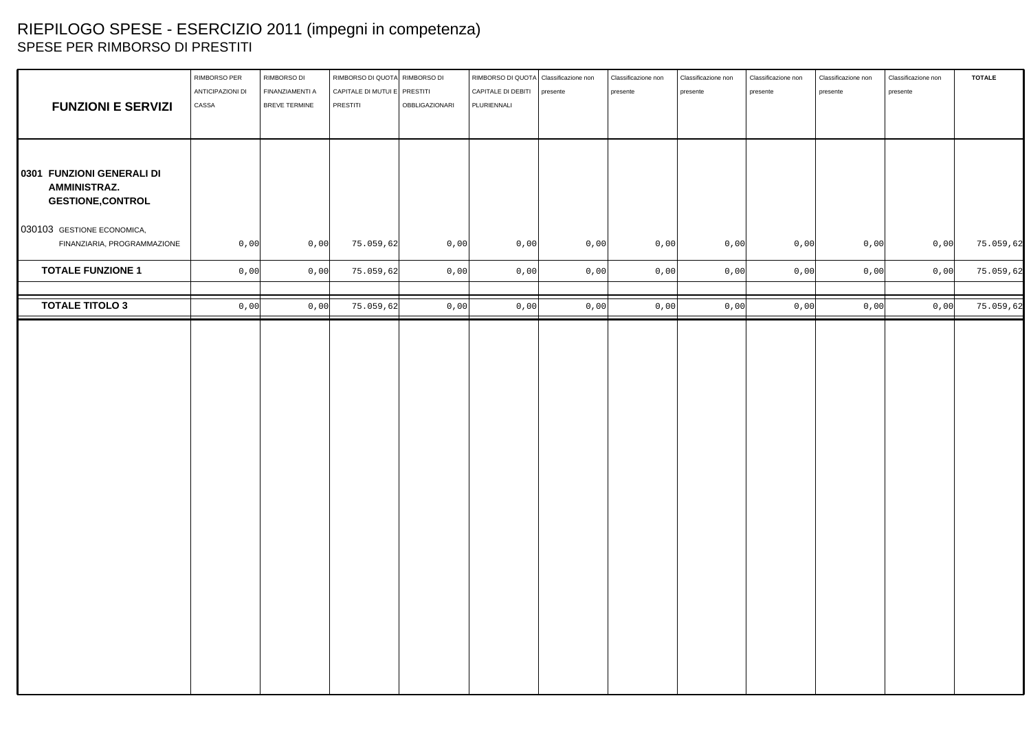# RIEPILOGO SPESE - ESERCIZIO 2011 (impegni in competenza) SPESE PER RIMBORSO DI PRESTITI

| <b>FUNZIONI E SERVIZI</b>                                                    | RIMBORSO PER<br>ANTICIPAZIONI DI<br>CASSA | RIMBORSO DI<br>FINANZIAMENTI A<br>BREVE TERMINE | RIMBORSO DI QUOTA RIMBORSO DI<br>CAPITALE DI MUTUI E PRESTITI<br>PRESTITI | OBBLIGAZIONARI | RIMBORSO DI QUOTA Classificazione non<br>CAPITALE DI DEBITI   presente<br>PLURIENNALI |      | Classificazione non<br>presente | Classificazione non<br>presente | Classificazione non<br>presente | Classificazione non<br>presente | Classificazione non<br>presente | <b>TOTALE</b> |
|------------------------------------------------------------------------------|-------------------------------------------|-------------------------------------------------|---------------------------------------------------------------------------|----------------|---------------------------------------------------------------------------------------|------|---------------------------------|---------------------------------|---------------------------------|---------------------------------|---------------------------------|---------------|
| 0301 FUNZIONI GENERALI DI<br><b>AMMINISTRAZ.</b><br><b>GESTIONE, CONTROL</b> |                                           |                                                 |                                                                           |                |                                                                                       |      |                                 |                                 |                                 |                                 |                                 |               |
| 030103 GESTIONE ECONOMICA,<br>FINANZIARIA, PROGRAMMAZIONE                    | 0,00                                      | 0,00                                            | 75.059,62                                                                 | 0,00           | 0,00                                                                                  | 0,00 | $0,00$                          | 0,00                            | 0,00                            | 0,00                            | 0,00                            | 75.059,62     |
| <b>TOTALE FUNZIONE 1</b>                                                     | 0,00                                      | 0,00                                            | 75.059,62                                                                 | 0,00           | 0,00                                                                                  | 0,00 | 0,00                            | 0,00                            | 0,00                            | 0,00                            | 0,00                            | 75.059,62     |
| <b>TOTALE TITOLO 3</b>                                                       | 0,00                                      | 0,00                                            | 75.059,62                                                                 | 0,00           | 0,00                                                                                  | 0,00 | 0,00                            | 0,00                            | 0,00                            | 0,00                            | 0,00                            | 75.059,62     |
|                                                                              |                                           |                                                 |                                                                           |                |                                                                                       |      |                                 |                                 |                                 |                                 |                                 |               |